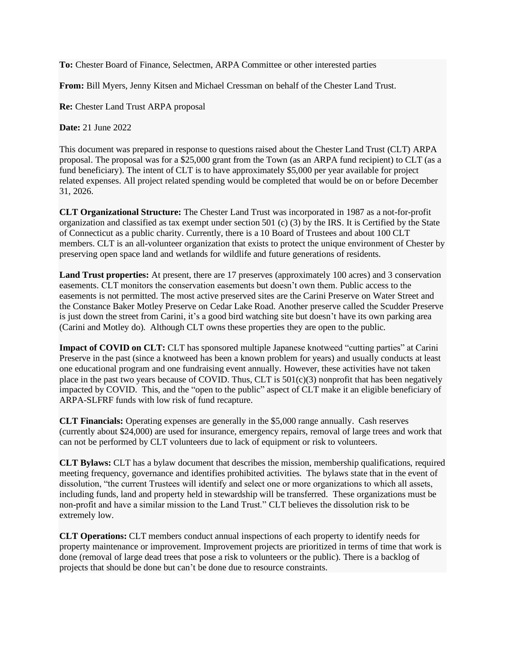**To:** Chester Board of Finance, Selectmen, ARPA Committee or other interested parties

**From:** Bill Myers, Jenny Kitsen and Michael Cressman on behalf of the Chester Land Trust.

**Re:** Chester Land Trust ARPA proposal

**Date:** 21 June 2022

This document was prepared in response to questions raised about the Chester Land Trust (CLT) ARPA proposal. The proposal was for a \$25,000 grant from the Town (as an ARPA fund recipient) to CLT (as a fund beneficiary). The intent of CLT is to have approximately \$5,000 per year available for project related expenses. All project related spending would be completed that would be on or before December 31, 2026.

**CLT Organizational Structure:** The Chester Land Trust was incorporated in 1987 as a not-for-profit organization and classified as tax exempt under section 501 (c) (3) by the IRS. It is Certified by the State of Connecticut as a public charity. Currently, there is a 10 Board of Trustees and about 100 CLT members. CLT is an all-volunteer organization that exists to protect the unique environment of Chester by preserving open space land and wetlands for wildlife and future generations of residents.

**Land Trust properties:** At present, there are 17 preserves (approximately 100 acres) and 3 conservation easements. CLT monitors the conservation easements but doesn't own them. Public access to the easements is not permitted. The most active preserved sites are the Carini Preserve on Water Street and the Constance Baker Motley Preserve on Cedar Lake Road. Another preserve called the Scudder Preserve is just down the street from Carini, it's a good bird watching site but doesn't have its own parking area (Carini and Motley do). Although CLT owns these properties they are open to the public.

**Impact of COVID on CLT:** CLT has sponsored multiple Japanese knotweed "cutting parties" at Carini Preserve in the past (since a knotweed has been a known problem for years) and usually conducts at least one educational program and one fundraising event annually. However, these activities have not taken place in the past two years because of COVID. Thus, CLT is  $501(c)(3)$  nonprofit that has been negatively impacted by COVID. This, and the "open to the public" aspect of CLT make it an eligible beneficiary of ARPA-SLFRF funds with low risk of fund recapture.

**CLT Financials:** Operating expenses are generally in the \$5,000 range annually. Cash reserves (currently about \$24,000) are used for insurance, emergency repairs, removal of large trees and work that can not be performed by CLT volunteers due to lack of equipment or risk to volunteers.

**CLT Bylaws:** CLT has a bylaw document that describes the mission, membership qualifications, required meeting frequency, governance and identifies prohibited activities. The bylaws state that in the event of dissolution, "the current Trustees will identify and select one or more organizations to which all assets, including funds, land and property held in stewardship will be transferred. These organizations must be non-profit and have a similar mission to the Land Trust." CLT believes the dissolution risk to be extremely low.

**CLT Operations:** CLT members conduct annual inspections of each property to identify needs for property maintenance or improvement. Improvement projects are prioritized in terms of time that work is done (removal of large dead trees that pose a risk to volunteers or the public). There is a backlog of projects that should be done but can't be done due to resource constraints.